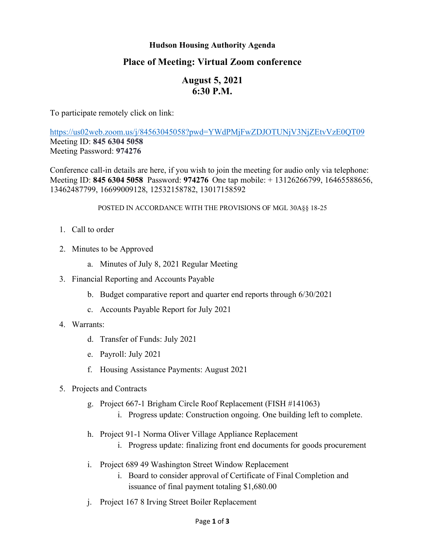### **Hudson Housing Authority Agenda**

# **Place of Meeting: Virtual Zoom conference**

# **August 5, 2021 6:30 P.M.**

To participate remotely click on link:

<https://us02web.zoom.us/j/84563045058?pwd=YWdPMjFwZDJOTUNjV3NjZEtvVzE0QT09> Meeting ID: **845 6304 5058** Meeting Password: **974276**

Conference call-in details are here, if you wish to join the meeting for audio only via telephone: Meeting ID: **845 6304 5058** Password: **974276** One tap mobile: + 13126266799, 16465588656, 13462487799, 16699009128, 12532158782, 13017158592

#### POSTED IN ACCORDANCE WITH THE PROVISIONS OF MGL 30A§§ 18-25

- 1. Call to order
- 2. Minutes to be Approved
	- a. Minutes of July 8, 2021 Regular Meeting
- 3. Financial Reporting and Accounts Payable
	- b. Budget comparative report and quarter end reports through 6/30/2021
	- c. Accounts Payable Report for July 2021
- 4. Warrants:
	- d. Transfer of Funds: July 2021
	- e. Payroll: July 2021
	- f. Housing Assistance Payments: August 2021
- 5. Projects and Contracts
	- g. Project 667-1 Brigham Circle Roof Replacement (FISH #141063)
		- i. Progress update: Construction ongoing. One building left to complete.
	- h. Project 91-1 Norma Oliver Village Appliance Replacement
		- i. Progress update: finalizing front end documents for goods procurement
	- i. Project 689 49 Washington Street Window Replacement
		- i. Board to consider approval of Certificate of Final Completion and issuance of final payment totaling \$1,680.00
	- j. Project 167 8 Irving Street Boiler Replacement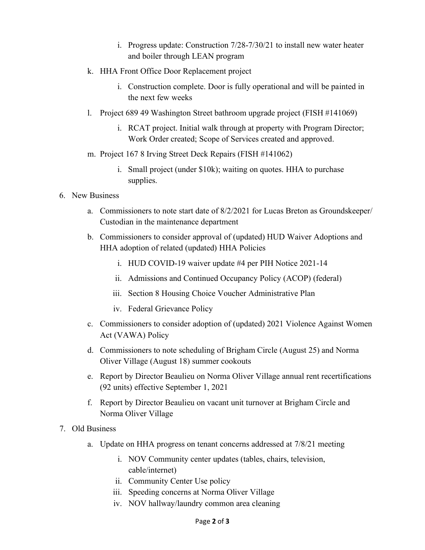- i. Progress update: Construction 7/28-7/30/21 to install new water heater and boiler through LEAN program
- k. HHA Front Office Door Replacement project
	- i. Construction complete. Door is fully operational and will be painted in the next few weeks
- l. Project 689 49 Washington Street bathroom upgrade project (FISH #141069)
	- i. RCAT project. Initial walk through at property with Program Director; Work Order created; Scope of Services created and approved.
- m. Project 167 8 Irving Street Deck Repairs (FISH #141062)
	- i. Small project (under \$10k); waiting on quotes. HHA to purchase supplies.

## 6. New Business

- a. Commissioners to note start date of 8/2/2021 for Lucas Breton as Groundskeeper/ Custodian in the maintenance department
- b. Commissioners to consider approval of (updated) HUD Waiver Adoptions and HHA adoption of related (updated) HHA Policies
	- i. HUD COVID-19 waiver update #4 per PIH Notice 2021-14
	- ii. Admissions and Continued Occupancy Policy (ACOP) (federal)
	- iii. Section 8 Housing Choice Voucher Administrative Plan
	- iv. Federal Grievance Policy
- c. Commissioners to consider adoption of (updated) 2021 Violence Against Women Act (VAWA) Policy
- d. Commissioners to note scheduling of Brigham Circle (August 25) and Norma Oliver Village (August 18) summer cookouts
- e. Report by Director Beaulieu on Norma Oliver Village annual rent recertifications (92 units) effective September 1, 2021
- f. Report by Director Beaulieu on vacant unit turnover at Brigham Circle and Norma Oliver Village
- 7. Old Business
	- a. Update on HHA progress on tenant concerns addressed at 7/8/21 meeting
		- i. NOV Community center updates (tables, chairs, television, cable/internet)
		- ii. Community Center Use policy
		- iii. Speeding concerns at Norma Oliver Village
		- iv. NOV hallway/laundry common area cleaning